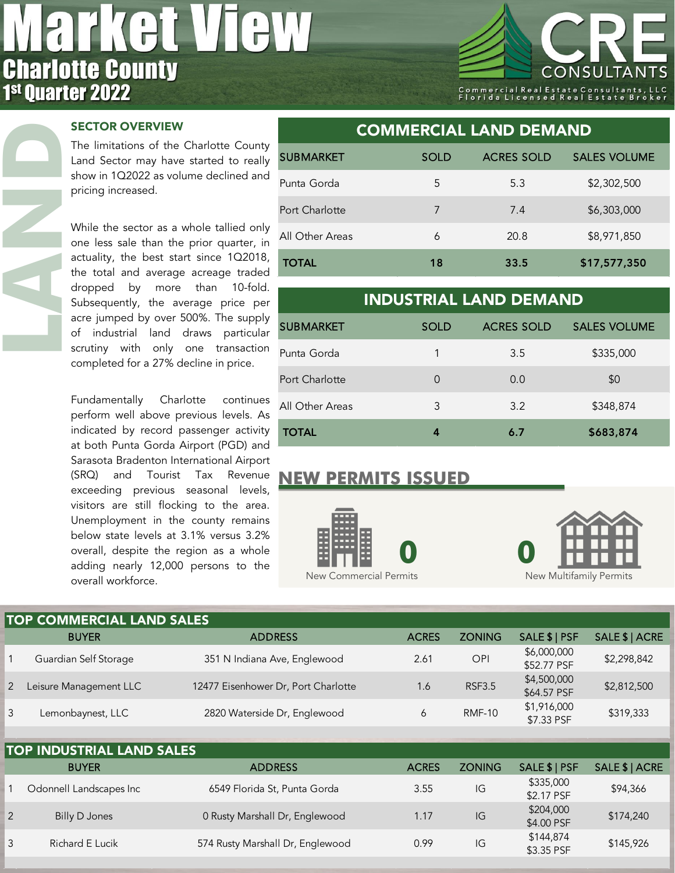## **AL**  $\frac{1}{\Gamma}$ **Charlotte County<br>1st Quarter 2022**



## SECTOR OVERVIEW

**LAND**

The limitations of the Charlotte County Land Sector may have started to really show in 1Q2022 as volume declined and pricing increased.

While the sector as a whole tallied only one less sale than the prior quarter, in actuality, the best start since 1Q2018, the total and average acreage traded dropped by more than 10-fold. Subsequently, the average price per acre jumped by over 500%. The supply of industrial land draws particular scrutiny with only one transaction completed for a 27% decline in price.

Fundamentally Charlotte continues perform well above previous levels. As indicated by record passenger activity at both Punta Gorda Airport (PGD) and Sarasota Bradenton International Airport (SRQ) and Tourist Tax Revenue exceeding previous seasonal levels, visitors are still flocking to the area. Unemployment in the county remains below state levels at 3.1% versus 3.2% overall, despite the region as a whole adding nearly 12,000 persons to the overall workforce.

| <b>COMMERCIAL LAND DEMAND</b> |             |                   |                     |  |  |  |  |  |  |
|-------------------------------|-------------|-------------------|---------------------|--|--|--|--|--|--|
| <b>SUBMARKET</b>              | <b>SOLD</b> | <b>ACRES SOLD</b> | <b>SALES VOLUME</b> |  |  |  |  |  |  |
| Punta Gorda                   | 5           | 5.3               | \$2,302,500         |  |  |  |  |  |  |
| Port Charlotte                | 7           | 7.4               | \$6,303,000         |  |  |  |  |  |  |
| All Other Areas               | 6           | 20.8              | \$8,971,850         |  |  |  |  |  |  |
| <b>TOTAL</b>                  | 18          | 33.5              | \$17,577,350        |  |  |  |  |  |  |

| <b>INDUSTRIAL LAND DEMAND</b> |             |                   |                     |  |  |  |  |  |
|-------------------------------|-------------|-------------------|---------------------|--|--|--|--|--|
| <b>SUBMARKET</b>              | <b>SOLD</b> | <b>ACRES SOLD</b> | <b>SALES VOLUME</b> |  |  |  |  |  |
| Punta Gorda                   | 1           | 3.5               | \$335,000           |  |  |  |  |  |
| Port Charlotte                | $\Omega$    | 0.0               | \$0                 |  |  |  |  |  |
| All Other Areas               | 3           | 3.2               | \$348,874           |  |  |  |  |  |
| <b>TOTAL</b>                  | 4           | 6.7               | \$683,874           |  |  |  |  |  |

## **NEW PERMITS ISSUED**





|   | <b>TOP COMMERCIAL LAND SALES</b> |                                     |              |               |                            |                |  |  |  |  |  |
|---|----------------------------------|-------------------------------------|--------------|---------------|----------------------------|----------------|--|--|--|--|--|
|   | <b>BUYER</b>                     | <b>ADDRESS</b>                      | <b>ACRES</b> | <b>ZONING</b> | SALE \$   PSF              | SALE \$   ACRE |  |  |  |  |  |
|   | Guardian Self Storage            | 351 N Indiana Ave, Englewood        | 2.61         | OPI           | \$6,000,000<br>\$52.77 PSF | \$2,298,842    |  |  |  |  |  |
| 2 | Leisure Management LLC           | 12477 Eisenhower Dr, Port Charlotte | 1.6          | <b>RSF3.5</b> | \$4,500,000<br>\$64.57 PSF | \$2,812,500    |  |  |  |  |  |
|   | Lemonbaynest, LLC                | 2820 Waterside Dr, Englewood        |              | <b>RMF-10</b> | \$1,916,000<br>\$7.33 PSF  | \$319,333      |  |  |  |  |  |

| <b>TOP INDUSTRIAL LAND SALES</b><br>SALE \$   PSF<br>SALE \$   ACRE<br><b>ZONING</b><br><b>ADDRESS</b><br><b>BUYER</b><br><b>ACRES</b><br>\$335,000<br>IG<br>6549 Florida St, Punta Gorda<br>Odonnell Landscapes Inc<br>\$94,366<br>3.55<br>\$2.17 PSF<br>\$204,000<br>\$174,240<br>IG<br>0 Rusty Marshall Dr, Englewood<br><b>Billy D Jones</b><br>1.17<br>\$4.00 PSF<br>\$144,874<br>\$145,926<br>574 Rusty Marshall Dr, Englewood<br>IG<br>3<br>Richard E Lucik<br>0.99 |  |  |            |  |
|----------------------------------------------------------------------------------------------------------------------------------------------------------------------------------------------------------------------------------------------------------------------------------------------------------------------------------------------------------------------------------------------------------------------------------------------------------------------------|--|--|------------|--|
|                                                                                                                                                                                                                                                                                                                                                                                                                                                                            |  |  |            |  |
|                                                                                                                                                                                                                                                                                                                                                                                                                                                                            |  |  |            |  |
|                                                                                                                                                                                                                                                                                                                                                                                                                                                                            |  |  |            |  |
|                                                                                                                                                                                                                                                                                                                                                                                                                                                                            |  |  | \$3.35 PSF |  |